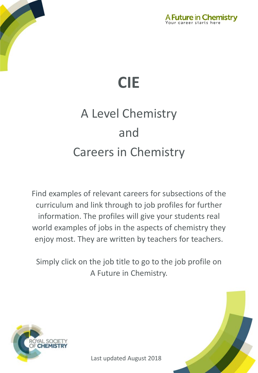



# A Level Chemistry and Careers in Chemistry

Find examples of relevant careers for subsections of the curriculum and link through to job profiles for further information. The profiles will give your students real world examples of jobs in the aspects of chemistry they enjoy most. They are written by teachers for teachers.

Simply click on the job title to go to the job profile on A Future in Chemistry.



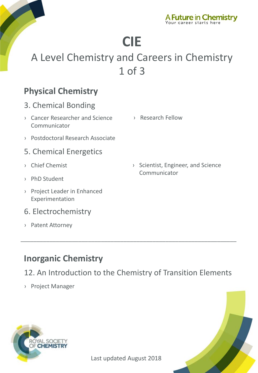

## A Level Chemistry and Careers in Chemistry 1 of 3

### **Physical Chemistry**

- 3. Chemical Bonding
- › Cancer [Researcher and Science](http://www.rsc.org/careers/future/cancer-researcher-and-science-communicator)  **Communicator**
- › [Postdoctoral Research Associate](http://www.rsc.org/careers/future/postdoctoral-research-associate)
- 5. Chemical Energetics
- › [Chief Chemist](http://www.rsc.org/careers/future/chief-chemist)
- › [PhD Student](http://www.rsc.org/careers/future/phd-student)
- › [Project Leader in Enhanced](http://www.rsc.org/careers/future/project-leader-enhanced-experimentation)  Experimentation
- 6. Electrochemistry
- › [Patent Attorney](http://www.rsc.org/careers/future/patent-attorney)
- **Inorganic Chemistry**
- 12. An Introduction to the Chemistry of Transition Elements

\_\_\_\_\_\_\_\_\_\_\_\_\_\_\_\_\_\_\_\_\_\_\_\_\_\_\_\_\_\_\_\_\_\_\_\_\_\_\_\_\_\_\_\_\_\_\_\_\_\_\_\_\_\_\_\_\_\_\_\_\_\_\_\_\_\_\_

› [Project Manager](http://www.rsc.org/careers/future/project-manager)



› [Research Fellow](http://www.rsc.org/careers/future/research-fellow)

› [Scientist, Engineer, and Science](http://www.rsc.org/careers/future/scientist-engineer-and-science-communicator)  Communicator

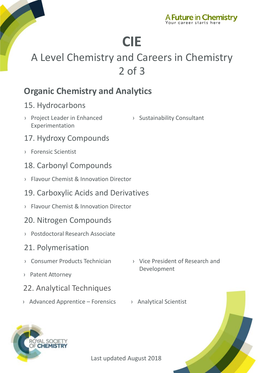

## A Level Chemistry and Careers in Chemistry 2 of 3

### **Organic Chemistry and Analytics**

#### 15. Hydrocarbons

- › [Project Leader in Enhanced](http://www.rsc.org/careers/future/project-leader-enhanced-experimentation)  Experimentation
- › [Sustainability](http://www.rsc.org/careers/future/sustainability-consultant) Consultant
- 17. Hydroxy Compounds
- › [Forensic Scientist](http://www.rsc.org/careers/future/forensic-scientist)
- 18. Carbonyl Compounds
- › Flavour [Chemist & Innovation Director](http://www.rsc.org/careers/future/flavourist-innovation-director)
- 19. Carboxylic Acids and Derivatives
- › Flavour [Chemist & Innovation Director](http://www.rsc.org/careers/future/flavourist-innovation-director)

#### 20. Nitrogen Compounds

› [Postdoctoral Research Associate](http://www.rsc.org/careers/future/postdoctoral-research-associate)

#### 21. Polymerisation

- › [Consumer Products Technician](http://www.rsc.org/careers/future/consumer-products-technician)
- › [Patent Attorney](http://www.rsc.org/careers/future/patent-attorney)
- 22. Analytical Techniques
- › [Advanced Apprentice –](http://www.rsc.org/careers/future/advanced-apprentice-forensics) Forensics › [Analytical Scientist](http://www.rsc.org/careers/future/analytical-scientist)
- › [Vice President of Research and](http://www.rsc.org/careers/future/vice-president-research-and-development)  Development
-